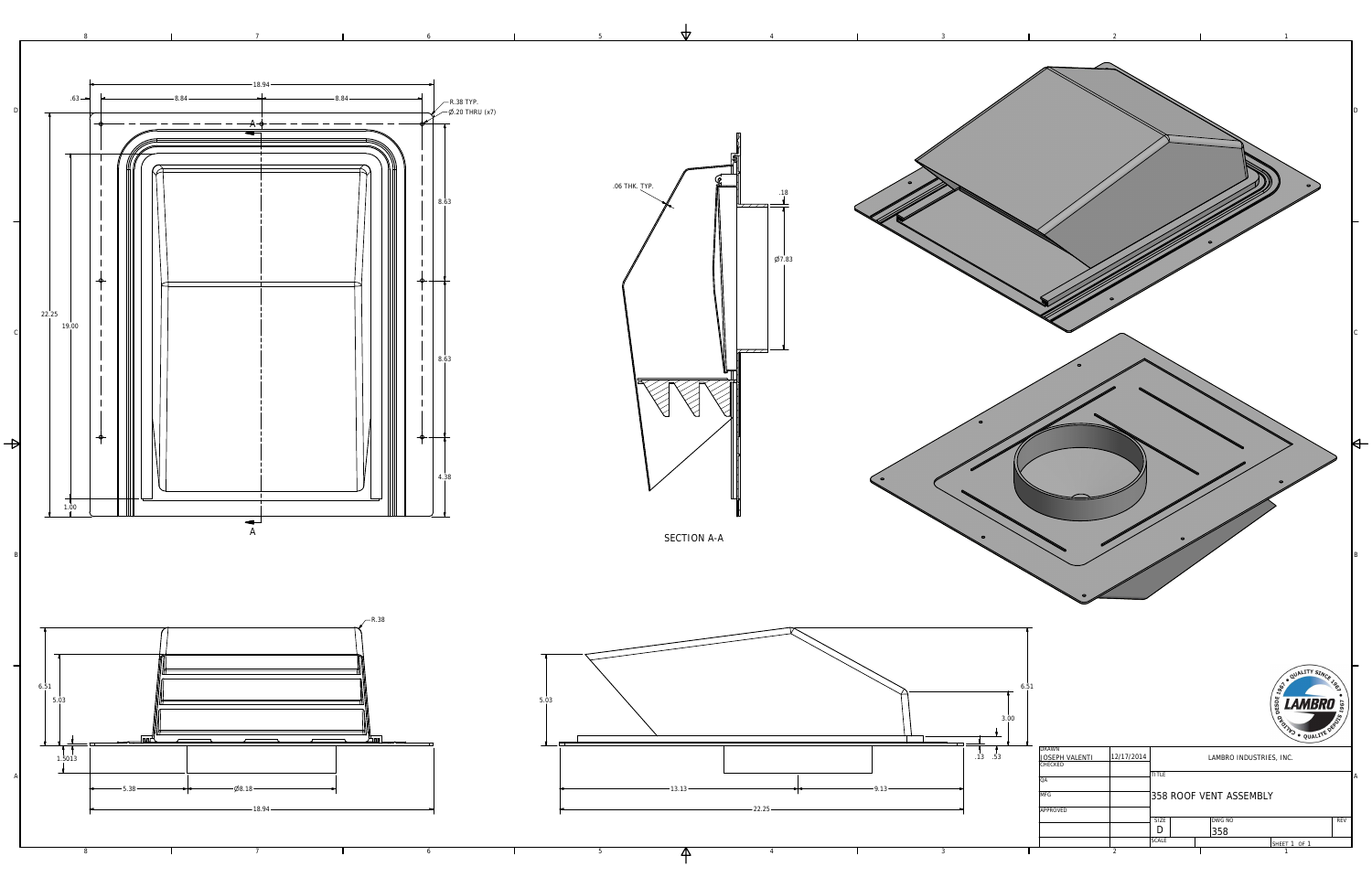



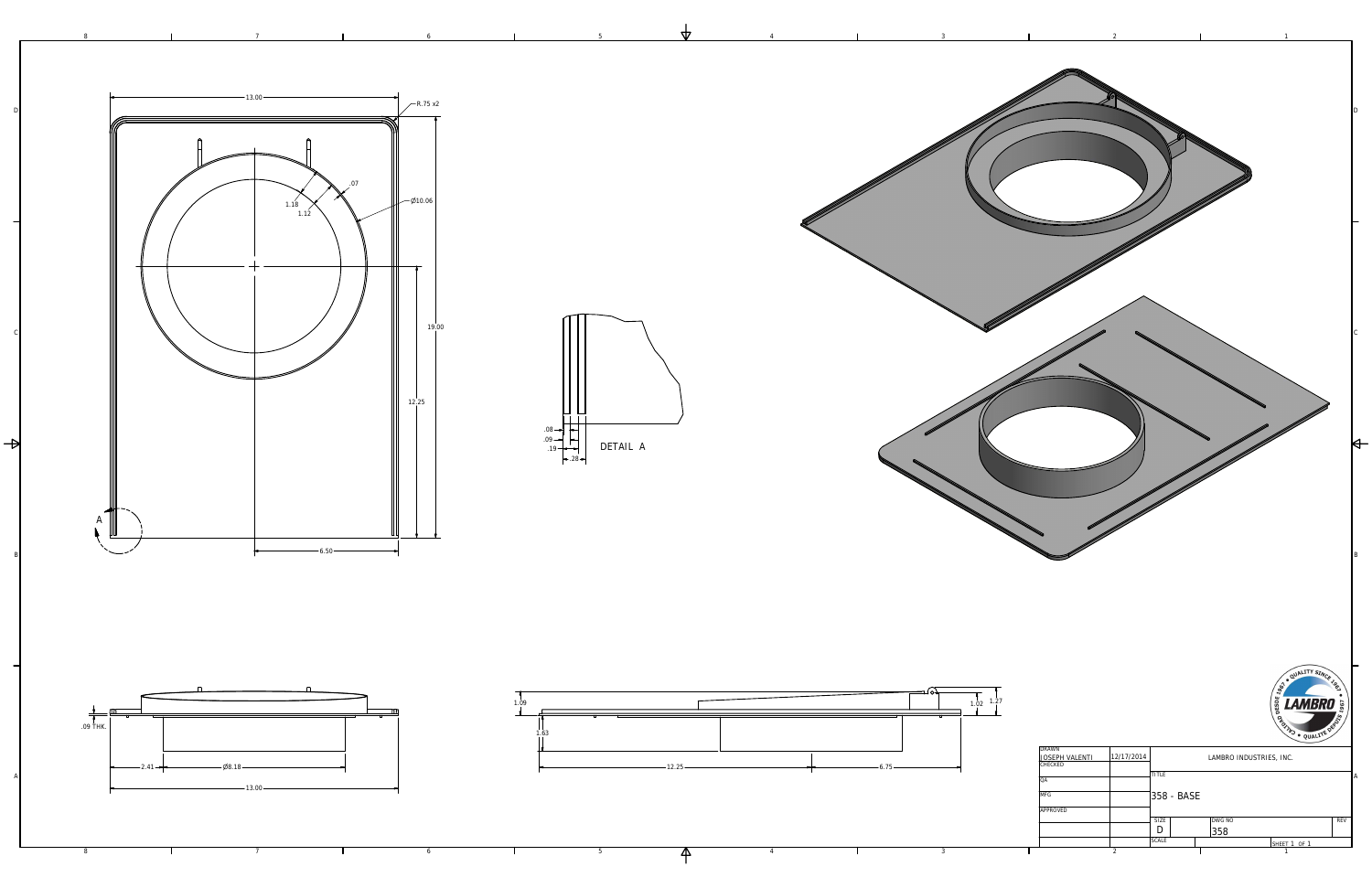3

4

5

6

6

7

7

8

8



4

| <b>DRAWN</b>          |                  |              |            |                         |              |            |
|-----------------------|------------------|--------------|------------|-------------------------|--------------|------------|
| <b>JOSEPH VALENTI</b> | 12/17/2014       |              |            | LAMBRO INDUSTRIES, INC. |              |            |
| <b>CHECKED</b>        |                  |              |            |                         |              |            |
|                       |                  | <b>TITLE</b> |            |                         |              |            |
| QA                    |                  |              |            |                         |              |            |
|                       |                  |              |            |                         |              |            |
| <b>MFG</b>            |                  |              | 358 - BASE |                         |              |            |
|                       |                  |              |            |                         |              |            |
| <b>APPROVED</b>       |                  |              |            |                         |              |            |
|                       |                  | <b>SIZE</b>  |            | <b>DWG NO</b>           |              | <b>REV</b> |
|                       |                  |              |            | 358                     |              |            |
|                       |                  | <b>SCALE</b> |            |                         | SHEET 1 OF 1 |            |
|                       | $\boldsymbol{2}$ |              |            |                         |              |            |

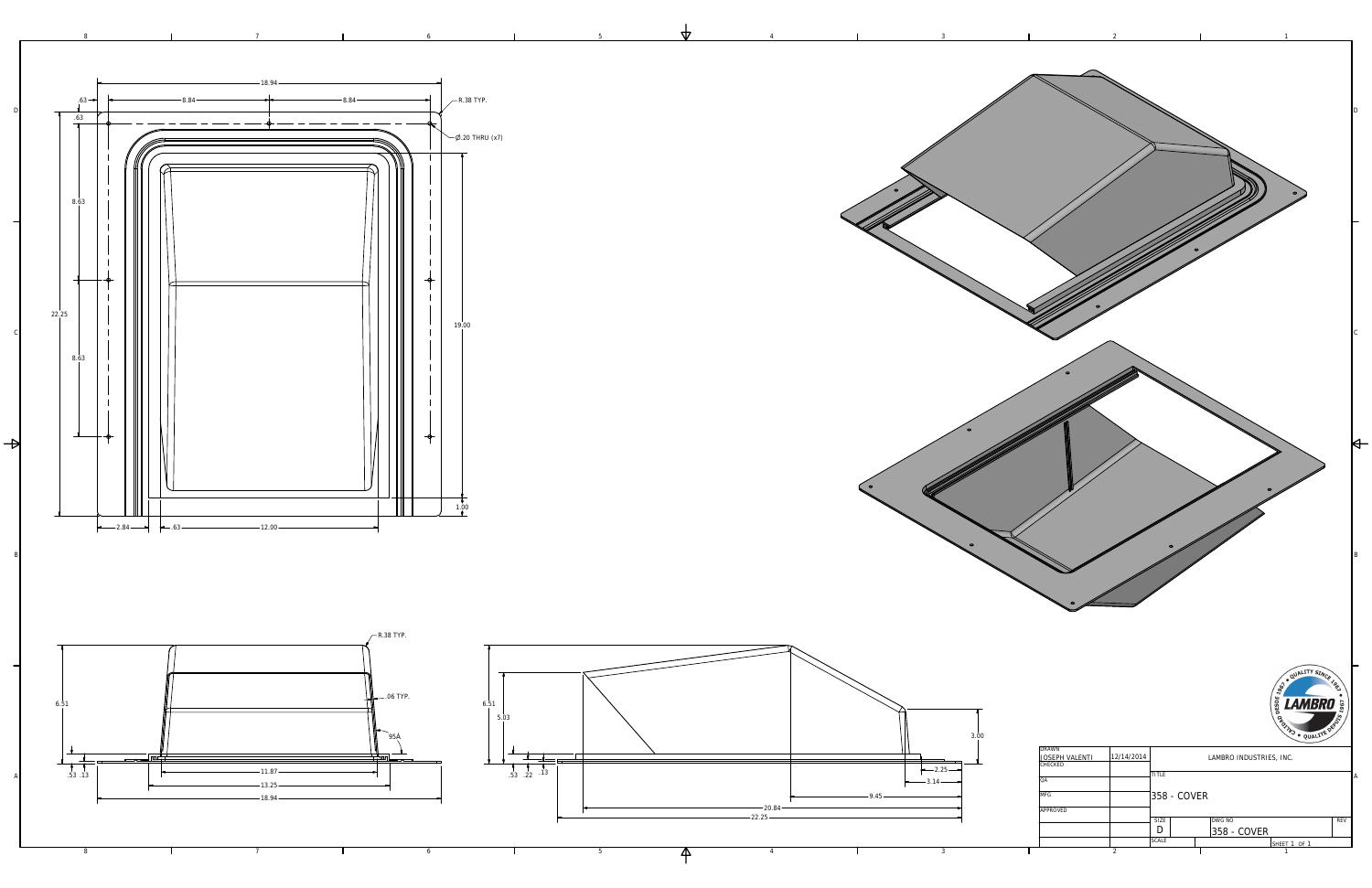

| <b>DRAWN</b>          |                  |                         |               |            |  |
|-----------------------|------------------|-------------------------|---------------|------------|--|
| <b>JOSEPH VALENTI</b> | 12/14/2014       | LAMBRO INDUSTRIES, INC. |               |            |  |
| <b>CHECKED</b>        |                  |                         |               |            |  |
|                       |                  | <b>TITLE</b>            |               |            |  |
| QA                    |                  |                         |               |            |  |
| <b>MFG</b>            |                  | 358 - COVER             |               |            |  |
|                       |                  |                         |               |            |  |
| <b>APPROVED</b>       |                  |                         |               |            |  |
|                       |                  | <b>SIZE</b>             | <b>DWG NO</b> | <b>REV</b> |  |
|                       |                  |                         | 358 - COVER   |            |  |
|                       |                  | <b>SCALE</b>            | SHEET 1 OF 1  |            |  |
|                       | $\boldsymbol{2}$ |                         |               |            |  |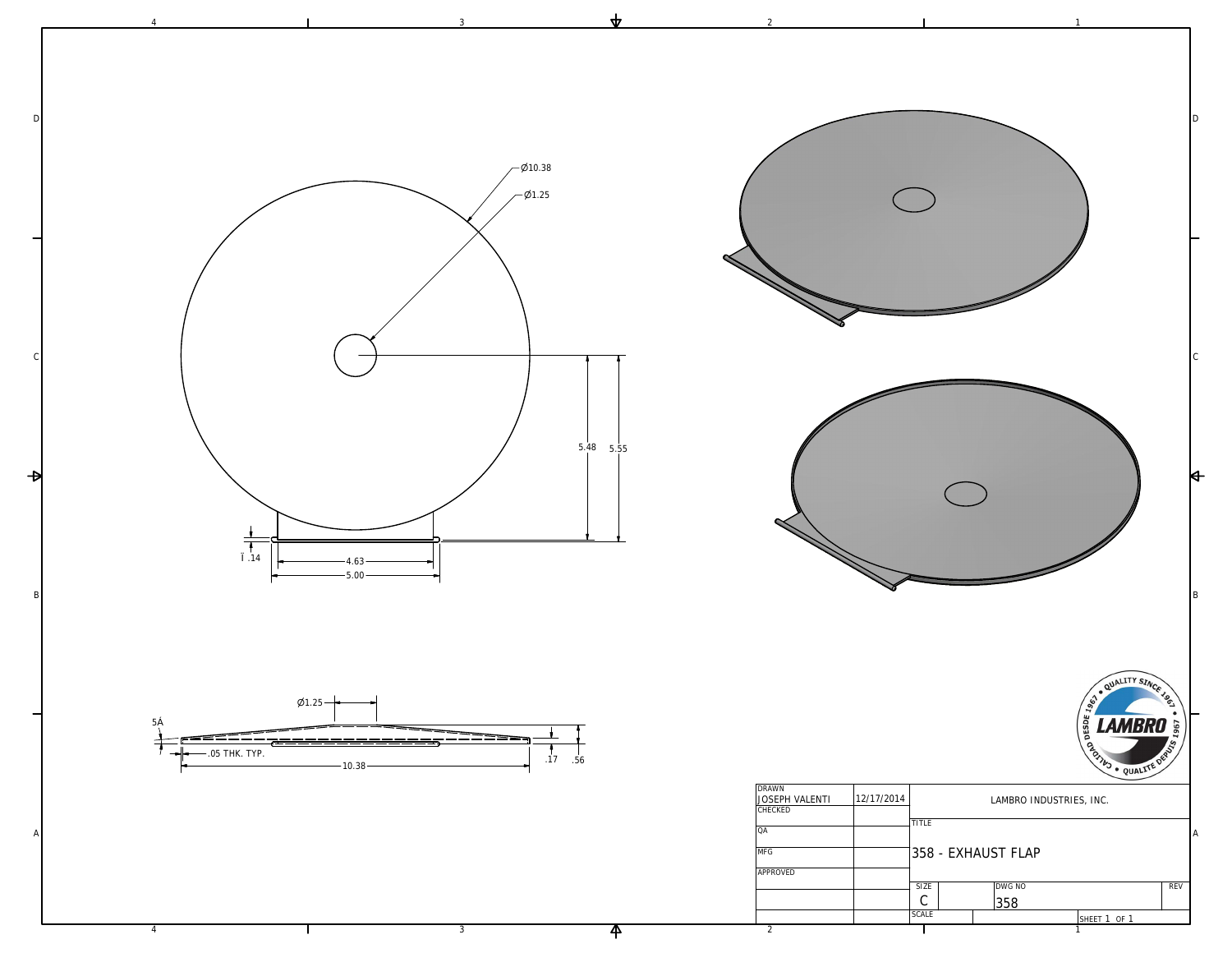